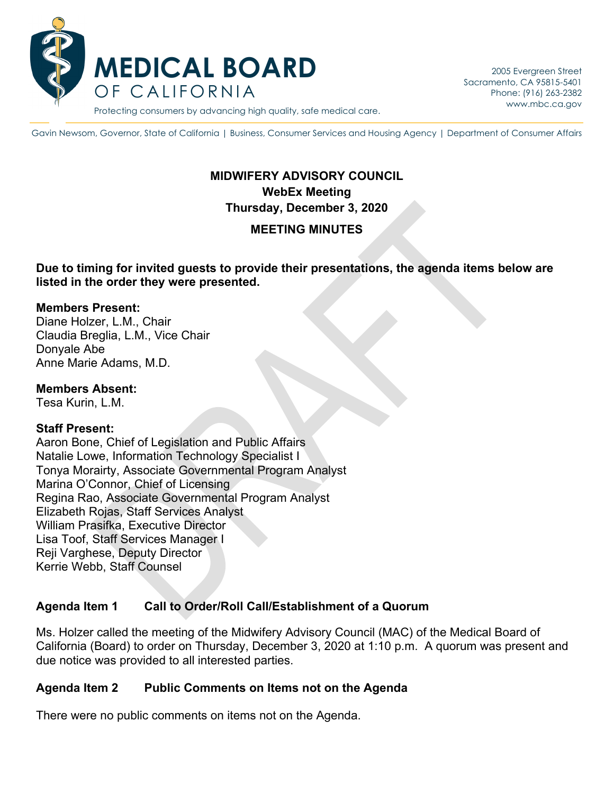

Gavin Newsom, Governor, State of California | Business, Consumer Services and Housing Agency | Department of Consumer Affairs

## **MIDWIFERY ADVISORY COUNCIL WebEx Meeting Thursday, December 3, 2020**

## **MEETING MINUTES**

**Due to timing for invited guests to provide their presentations, the agenda items below are listed in the order they were presented.**

#### **Members Present:**

Diane Holzer, L.M., Chair Claudia Breglia, L.M., Vice Chair Donyale Abe Anne Marie Adams, M.D.

#### **Members Absent:**

Tesa Kurin, L.M.

#### **Staff Present:**

Aaron Bone, Chief of Legislation and Public Affairs Natalie Lowe, Information Technology Specialist I Tonya Morairty, Associate Governmental Program Analyst Marina O'Connor, Chief of Licensing Regina Rao, Associate Governmental Program Analyst Elizabeth Rojas, Staff Services Analyst William Prasifka, Executive Director Lisa Toof, Staff Services Manager I Reji Varghese, Deputy Director Kerrie Webb, Staff Counsel

### **Agenda Item 1 Call to Order/Roll Call/Establishment of a Quorum**

Ms. Holzer called the meeting of the Midwifery Advisory Council (MAC) of the Medical Board of California (Board) to order on Thursday, December 3, 2020 at 1:10 p.m. A quorum was present and due notice was provided to all interested parties.

#### **Agenda Item 2 Public Comments on Items not on the Agenda**

There were no public comments on items not on the Agenda.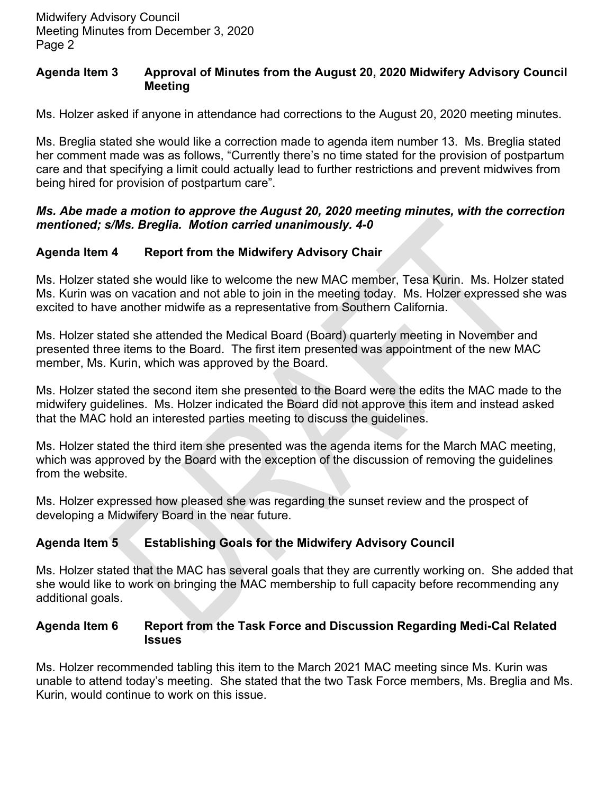### **Agenda Item 3 Approval of Minutes from the August 20, 2020 Midwifery Advisory Council Meeting**

Ms. Holzer asked if anyone in attendance had corrections to the August 20, 2020 meeting minutes.

Ms. Breglia stated she would like a correction made to agenda item number 13. Ms. Breglia stated her comment made was as follows, "Currently there's no time stated for the provision of postpartum care and that specifying a limit could actually lead to further restrictions and prevent midwives from being hired for provision of postpartum care".

### *Ms. Abe made a motion to approve the August 20, 2020 meeting minutes, with the correction mentioned; s/Ms. Breglia. Motion carried unanimously. 4-0*

## **Agenda Item 4 Report from the Midwifery Advisory Chair**

Ms. Holzer stated she would like to welcome the new MAC member, Tesa Kurin. Ms. Holzer stated Ms. Kurin was on vacation and not able to join in the meeting today. Ms. Holzer expressed she was excited to have another midwife as a representative from Southern California.

Ms. Holzer stated she attended the Medical Board (Board) quarterly meeting in November and presented three items to the Board. The first item presented was appointment of the new MAC member, Ms. Kurin, which was approved by the Board.

Ms. Holzer stated the second item she presented to the Board were the edits the MAC made to the midwifery guidelines. Ms. Holzer indicated the Board did not approve this item and instead asked that the MAC hold an interested parties meeting to discuss the guidelines.

Ms. Holzer stated the third item she presented was the agenda items for the March MAC meeting, which was approved by the Board with the exception of the discussion of removing the guidelines from the website.

Ms. Holzer expressed how pleased she was regarding the sunset review and the prospect of developing a Midwifery Board in the near future.

# **Agenda Item 5 Establishing Goals for the Midwifery Advisory Council**

Ms. Holzer stated that the MAC has several goals that they are currently working on. She added that she would like to work on bringing the MAC membership to full capacity before recommending any additional goals.

### **Agenda Item 6 Report from the Task Force and Discussion Regarding Medi-Cal Related Issues**

Ms. Holzer recommended tabling this item to the March 2021 MAC meeting since Ms. Kurin was unable to attend today's meeting. She stated that the two Task Force members, Ms. Breglia and Ms. Kurin, would continue to work on this issue.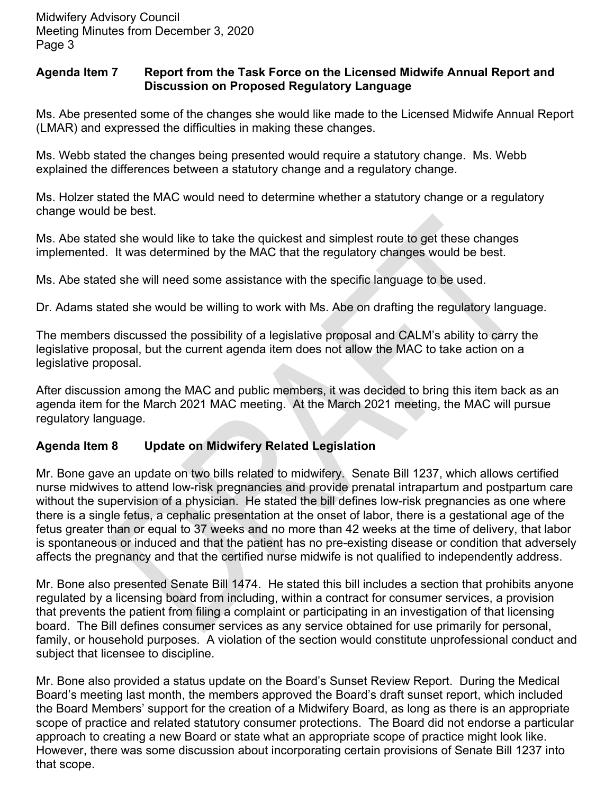### **Agenda Item 7 Report from the Task Force on the Licensed Midwife Annual Report and Discussion on Proposed Regulatory Language**

Ms. Abe presented some of the changes she would like made to the Licensed Midwife Annual Report (LMAR) and expressed the difficulties in making these changes.

Ms. Webb stated the changes being presented would require a statutory change. Ms. Webb explained the differences between a statutory change and a regulatory change.

Ms. Holzer stated the MAC would need to determine whether a statutory change or a regulatory change would be best.

Ms. Abe stated she would like to take the quickest and simplest route to get these changes implemented. It was determined by the MAC that the regulatory changes would be best.

Ms. Abe stated she will need some assistance with the specific language to be used.

Dr. Adams stated she would be willing to work with Ms. Abe on drafting the regulatory language.

The members discussed the possibility of a legislative proposal and CALM's ability to carry the legislative proposal, but the current agenda item does not allow the MAC to take action on a legislative proposal.

After discussion among the MAC and public members, it was decided to bring this item back as an agenda item for the March 2021 MAC meeting. At the March 2021 meeting, the MAC will pursue regulatory language.

## **Agenda Item 8 Update on Midwifery Related Legislation**

Mr. Bone gave an update on two bills related to midwifery. Senate Bill 1237, which allows certified nurse midwives to attend low-risk pregnancies and provide prenatal intrapartum and postpartum care without the supervision of a physician. He stated the bill defines low-risk pregnancies as one where there is a single fetus, a cephalic presentation at the onset of labor, there is a gestational age of the fetus greater than or equal to 37 weeks and no more than 42 weeks at the time of delivery, that labor is spontaneous or induced and that the patient has no pre-existing disease or condition that adversely affects the pregnancy and that the certified nurse midwife is not qualified to independently address.

Mr. Bone also presented Senate Bill 1474. He stated this bill includes a section that prohibits anyone regulated by a licensing board from including, within a contract for consumer services, a provision that prevents the patient from filing a complaint or participating in an investigation of that licensing board. The Bill defines consumer services as any service obtained for use primarily for personal, family, or household purposes. A violation of the section would constitute unprofessional conduct and subject that licensee to discipline.

Mr. Bone also provided a status update on the Board's Sunset Review Report. During the Medical Board's meeting last month, the members approved the Board's draft sunset report, which included the Board Members' support for the creation of a Midwifery Board, as long as there is an appropriate scope of practice and related statutory consumer protections. The Board did not endorse a particular approach to creating a new Board or state what an appropriate scope of practice might look like. However, there was some discussion about incorporating certain provisions of Senate Bill 1237 into that scope.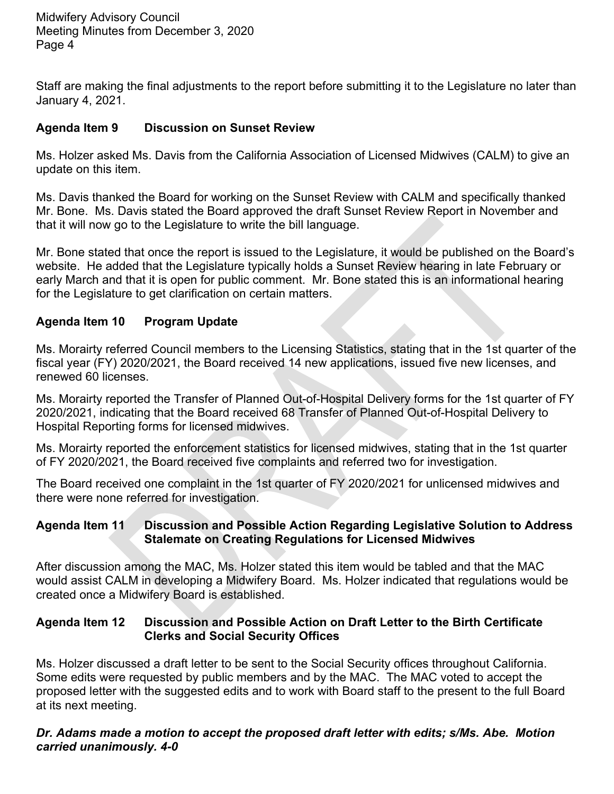Midwifery Advisory Council Meeting Minutes from December 3, 2020 Page 4

Staff are making the final adjustments to the report before submitting it to the Legislature no later than January 4, 2021.

### **Agenda Item 9 Discussion on Sunset Review**

Ms. Holzer asked Ms. Davis from the California Association of Licensed Midwives (CALM) to give an update on this item.

Ms. Davis thanked the Board for working on the Sunset Review with CALM and specifically thanked Mr. Bone. Ms. Davis stated the Board approved the draft Sunset Review Report in November and that it will now go to the Legislature to write the bill language.

Mr. Bone stated that once the report is issued to the Legislature, it would be published on the Board's website. He added that the Legislature typically holds a Sunset Review hearing in late February or early March and that it is open for public comment. Mr. Bone stated this is an informational hearing for the Legislature to get clarification on certain matters.

## **Agenda Item 10 Program Update**

Ms. Morairty referred Council members to the Licensing Statistics, stating that in the 1st quarter of the fiscal year (FY) 2020/2021, the Board received 14 new applications, issued five new licenses, and renewed 60 licenses.

Ms. Morairty reported the Transfer of Planned Out-of-Hospital Delivery forms for the 1st quarter of FY 2020/2021, indicating that the Board received 68 Transfer of Planned Out-of-Hospital Delivery to Hospital Reporting forms for licensed midwives.

Ms. Morairty reported the enforcement statistics for licensed midwives, stating that in the 1st quarter of FY 2020/2021, the Board received five complaints and referred two for investigation.

The Board received one complaint in the 1st quarter of FY 2020/2021 for unlicensed midwives and there were none referred for investigation.

### **Agenda Item 11 Discussion and Possible Action Regarding Legislative Solution to Address Stalemate on Creating Regulations for Licensed Midwives**

After discussion among the MAC, Ms. Holzer stated this item would be tabled and that the MAC would assist CALM in developing a Midwifery Board. Ms. Holzer indicated that regulations would be created once a Midwifery Board is established.

### **Agenda Item 12 Discussion and Possible Action on Draft Letter to the Birth Certificate Clerks and Social Security Offices**

Ms. Holzer discussed a draft letter to be sent to the Social Security offices throughout California. Some edits were requested by public members and by the MAC. The MAC voted to accept the proposed letter with the suggested edits and to work with Board staff to the present to the full Board at its next meeting.

### *Dr. Adams made a motion to accept the proposed draft letter with edits; s/Ms. Abe. Motion carried unanimously. 4-0*